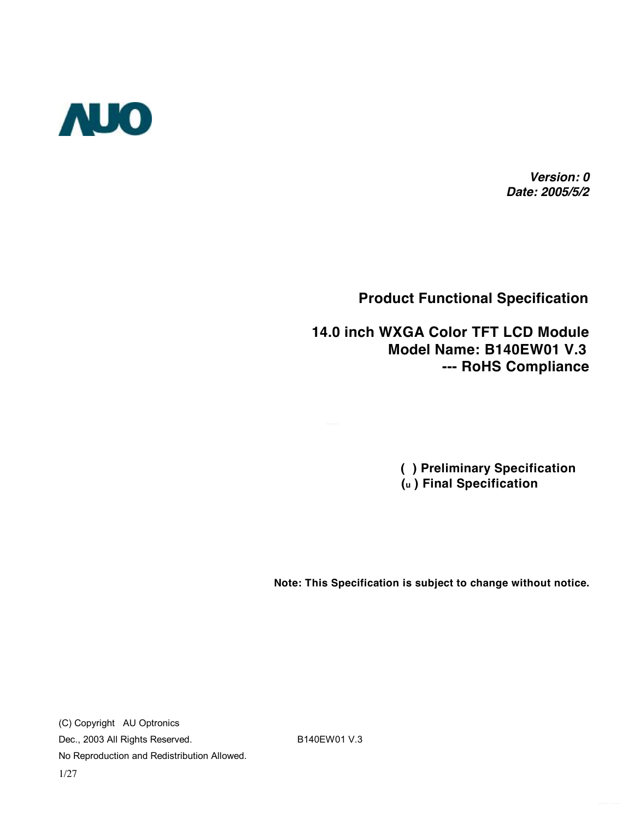

*Version: 0 Date: 2005/5/2*

**Product Functional Specification** 

 **14.0 inch WXGA Color TFT LCD Module Model Name: B140EW01 V.3 --- RoHS Compliance** 

> **( ) Preliminary Specification (u ) Final Specification**

**Note: This Specification is subject to change without notice.**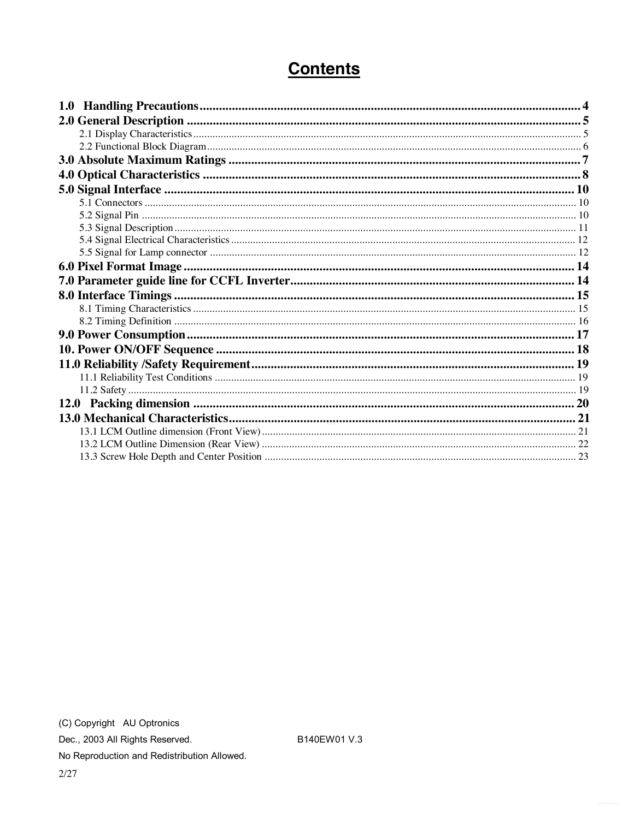## **Contents**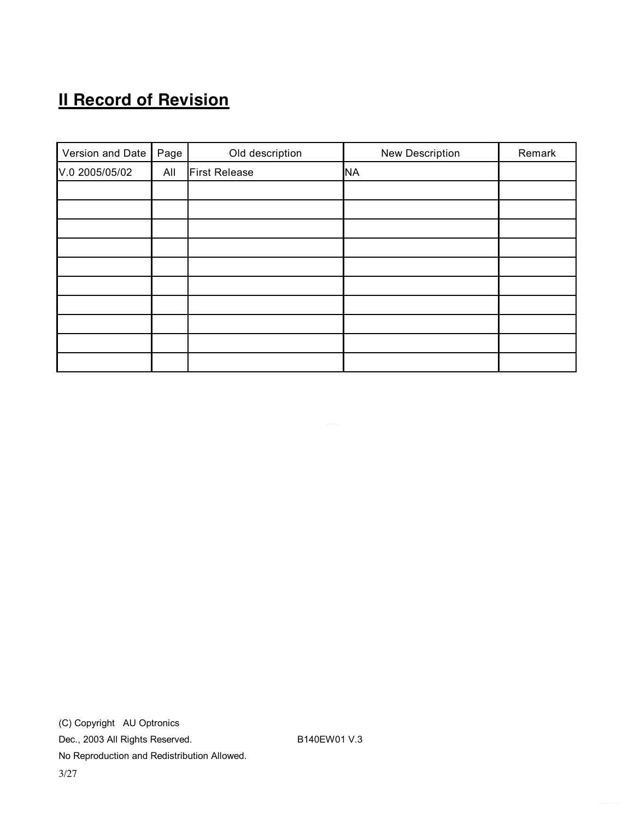# **II Record of Revision**

| Version and Date | Page | Old description      | New Description | Remark |
|------------------|------|----------------------|-----------------|--------|
| V.0 2005/05/02   | All  | <b>First Release</b> | <b>NA</b>       |        |
|                  |      |                      |                 |        |
|                  |      |                      |                 |        |
|                  |      |                      |                 |        |
|                  |      |                      |                 |        |
|                  |      |                      |                 |        |
|                  |      |                      |                 |        |
|                  |      |                      |                 |        |
|                  |      |                      |                 |        |
|                  |      |                      |                 |        |
|                  |      |                      |                 |        |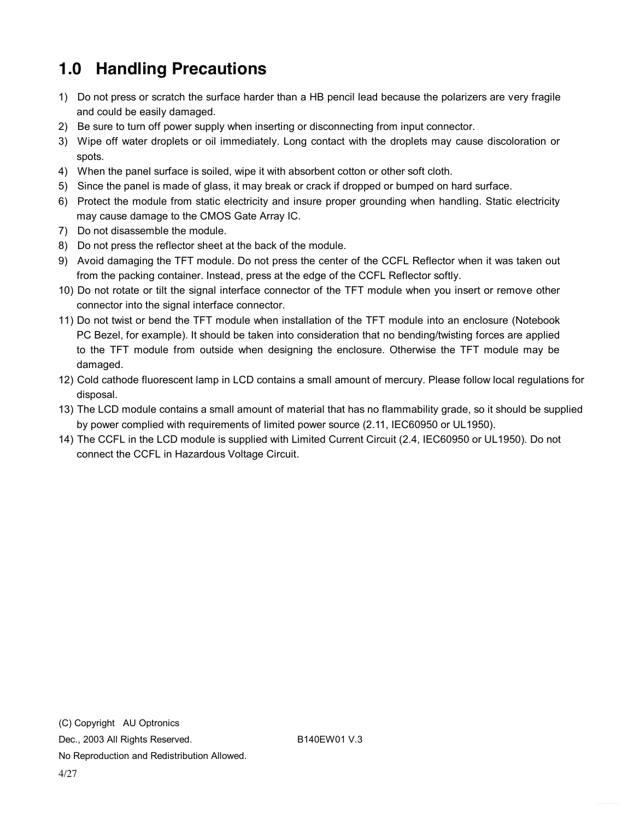# **1.0 Handling Precautions**

- 1) Do not press or scratch the surface harder than a HB pencil lead because the polarizers are very fragile and could be easily damaged.
- 2) Be sure to turn off power supply when inserting or disconnecting from input connector.
- 3) Wipe off water droplets or oil immediately. Long contact with the droplets may cause discoloration or spots.
- 4) When the panel surface is soiled, wipe it with absorbent cotton or other soft cloth.
- 5) Since the panel is made of glass, it may break or crack if dropped or bumped on hard surface.
- 6) Protect the module from static electricity and insure proper grounding when handling. Static electricity may cause damage to the CMOS Gate Array IC.
- 7) Do not disassemble the module.
- 8) Do not press the reflector sheet at the back of the module.
- 9) Avoid damaging the TFT module. Do not press the center of the CCFL Reflector when it was taken out from the packing container. Instead, press at the edge of the CCFL Reflector softly.
- 10) Do not rotate or tilt the signal interface connector of the TFT module when you insert or remove other connector into the signal interface connector.
- 11) Do not twist or bend the TFT module when installation of the TFT module into an enclosure (Notebook PC Bezel, for example). It should be taken into consideration that no bending/twisting forces are applied to the TFT module from outside when designing the enclosure. Otherwise the TFT module may be damaged.
- 12) Cold cathode fluorescent lamp in LCD contains a small amount of mercury. Please follow local regulations for disposal.
- 13) The LCD module contains a small amount of material that has no flammability grade, so it should be supplied by power complied with requirements of limited power source (2.11, IEC60950 or UL1950).
- 14) The CCFL in the LCD module is supplied with Limited Current Circuit (2.4, IEC60950 or UL1950). Do not connect the CCFL in Hazardous Voltage Circuit.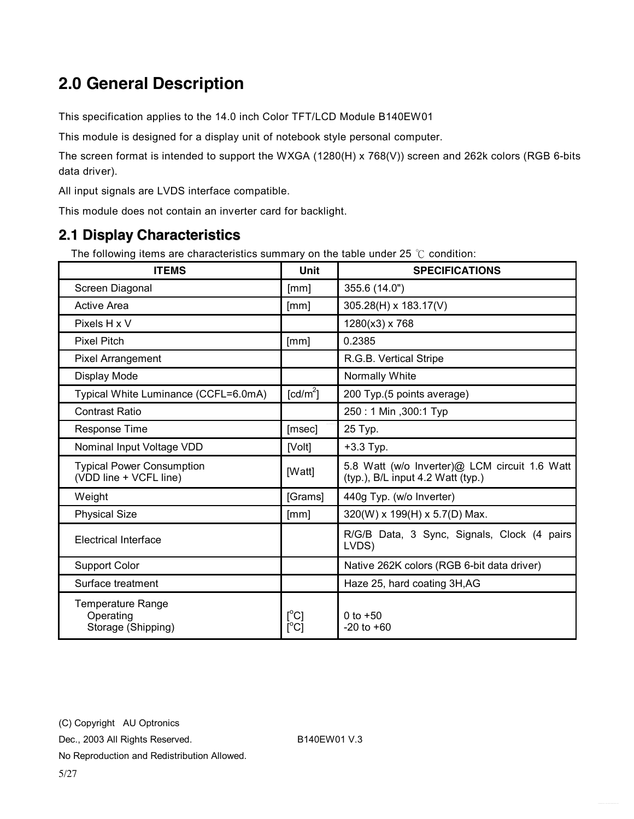# **2.0 General Description**

This specification applies to the 14.0 inch Color TFT/LCD Module B140EW01

This module is designed for a display unit of notebook style personal computer.

The screen format is intended to support the WXGA (1280(H) x 768(V)) screen and 262k colors (RGB 6-bits data driver).

All input signals are LVDS interface compatible.

This module does not contain an inverter card for backlight.

#### **2.1 Display Characteristics**

The following items are characteristics summary on the table under 25 ℃ condition:

| <b>ITEMS</b>                                                | Unit                                                     | <b>SPECIFICATIONS</b>                                                              |
|-------------------------------------------------------------|----------------------------------------------------------|------------------------------------------------------------------------------------|
| Screen Diagonal                                             | [mm]                                                     | 355.6 (14.0")                                                                      |
| Active Area                                                 | [mm]                                                     | 305.28(H) x 183.17(V)                                                              |
| Pixels H x V                                                |                                                          | $1280(x3)$ x 768                                                                   |
| <b>Pixel Pitch</b>                                          | [mm]                                                     | 0.2385                                                                             |
| <b>Pixel Arrangement</b>                                    |                                                          | R.G.B. Vertical Stripe                                                             |
| Display Mode                                                |                                                          | Normally White                                                                     |
| Typical White Luminance (CCFL=6.0mA)                        | $\lceil cd/m^2 \rceil$                                   | 200 Typ.(5 points average)                                                         |
| <b>Contrast Ratio</b>                                       |                                                          | 250: 1 Min , 300: 1 Typ                                                            |
| Response Time                                               | [msec]                                                   | 25 Typ.                                                                            |
| Nominal Input Voltage VDD                                   | [Volt]                                                   | $+3.3$ Typ.                                                                        |
| <b>Typical Power Consumption</b><br>(VDD line + VCFL line)  | [Watt]                                                   | 5.8 Watt (w/o Inverter)@ LCM circuit 1.6 Watt<br>(typ.), B/L input 4.2 Watt (typ.) |
| Weight                                                      | [Grams]                                                  | 440g Typ. (w/o Inverter)                                                           |
| <b>Physical Size</b>                                        | [mm]                                                     | 320(W) x 199(H) x 5.7(D) Max.                                                      |
| Electrical Interface                                        |                                                          | R/G/B Data, 3 Sync, Signals, Clock (4 pairs<br>LVDS)                               |
| <b>Support Color</b>                                        |                                                          | Native 262K colors (RGB 6-bit data driver)                                         |
| Surface treatment                                           |                                                          | Haze 25, hard coating 3H, AG                                                       |
| <b>Temperature Range</b><br>Operating<br>Storage (Shipping) | $\mathsf{I}^\circ\mathsf{C} \mathsf{I}$<br>$[^{\circ}C]$ | 0 to $+50$<br>$-20$ to $+60$                                                       |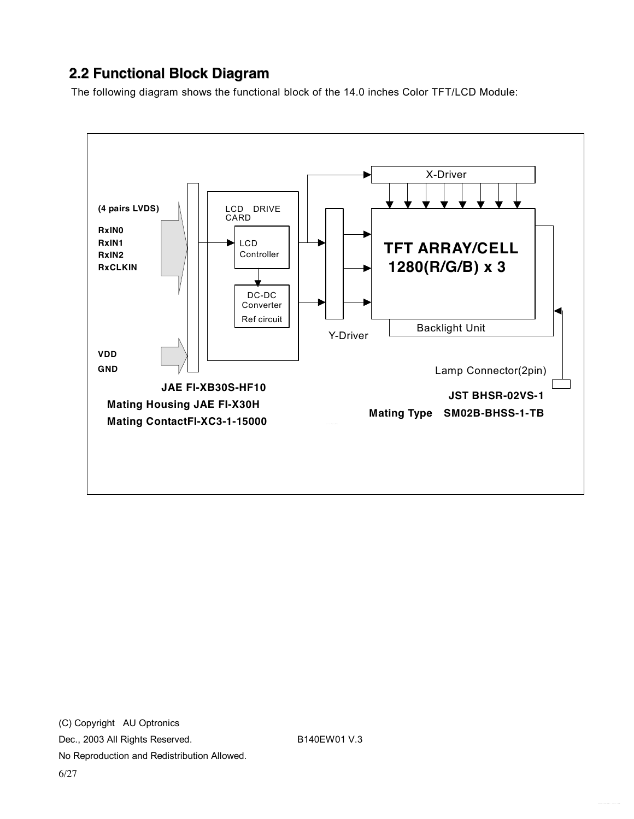### **2.2 Functional Block Diagram**

The following diagram shows the functional block of the 14.0 inches Color TFT/LCD Module:

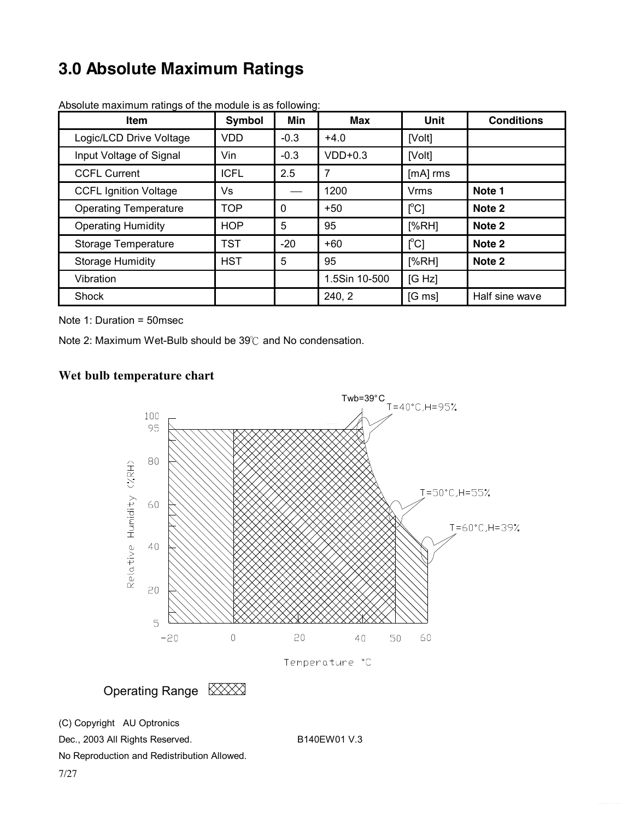# **3.0 Absolute Maximum Ratings**

| <b>Item</b>                  | Symbol      | Min          | <b>Max</b>    | <b>Unit</b>              | <b>Conditions</b> |
|------------------------------|-------------|--------------|---------------|--------------------------|-------------------|
| Logic/LCD Drive Voltage      | <b>VDD</b>  | $-0.3$       | $+4.0$        | [Volt]                   |                   |
| Input Voltage of Signal      | Vin         | $-0.3$       | $VDD+0.3$     | [Volt]                   |                   |
| <b>CCFL Current</b>          | <b>ICFL</b> | 2.5          | 7             | [mA] rms                 |                   |
| <b>CCFL Ignition Voltage</b> | Vs          |              | 1200          | <b>Vrms</b>              | Note 1            |
| <b>Operating Temperature</b> | <b>TOP</b>  | $\mathbf{0}$ | $+50$         | $\Gamma$ <sup>o</sup> Cl | Note 2            |
| <b>Operating Humidity</b>    | <b>HOP</b>  | 5            | 95            | [%RH]                    | Note 2            |
| Storage Temperature          | <b>TST</b>  | $-20$        | $+60$         | $\Gamma$ <sup>o</sup> Cl | Note 2            |
| <b>Storage Humidity</b>      | <b>HST</b>  | 5            | 95            | [%RH]                    | Note 2            |
| Vibration                    |             |              | 1.5Sin 10-500 | [G Hz]                   |                   |
| Shock                        |             |              | 240, 2        | $[G \, ms]$              | Half sine wave    |

Absolute maximum ratings of the module is as following:

Note 1: Duration = 50msec

Note 2: Maximum Wet-Bulb should be 39℃ and No condensation.

#### **Wet bulb temperature chart**



Operating Range XXXX

(C) Copyright AU Optronics

Dec., 2003 All Rights Reserved. B140EW01 V.3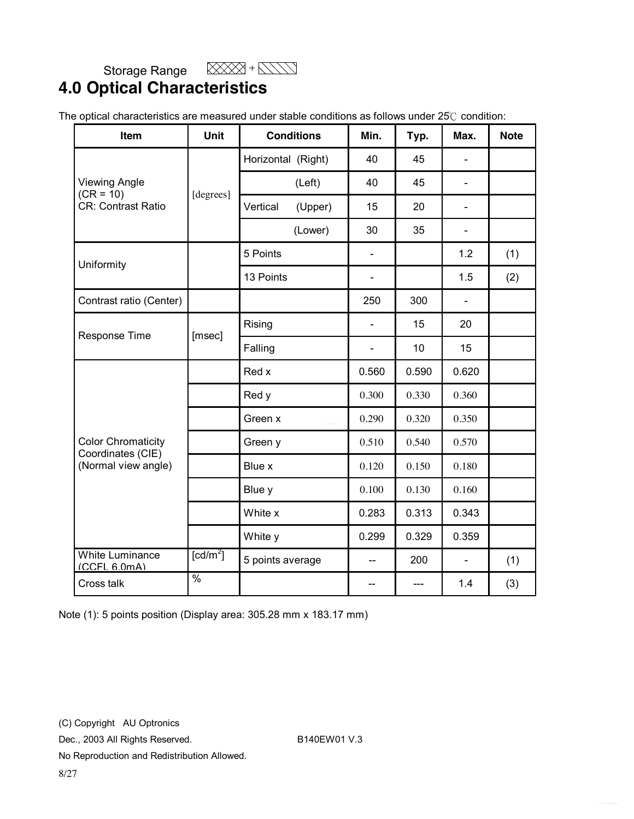$\boxtimes$  +  $\boxtimes$  +  $\boxtimes$ 

### Storage Range **4.0 Optical Characteristics**

| Item                                           | Unit                 | <b>Conditions</b>  |         | Min.                     | Typ.  | Max.                     | <b>Note</b> |
|------------------------------------------------|----------------------|--------------------|---------|--------------------------|-------|--------------------------|-------------|
|                                                |                      | Horizontal (Right) |         | 40                       | 45    |                          |             |
| <b>Viewing Angle</b><br>$(CR = 10)$            |                      |                    | (Left)  | 40                       | 45    | $\blacksquare$           |             |
| CR: Contrast Ratio                             | [degrees]            | Vertical           | (Upper) | 15                       | 20    | $\overline{\phantom{0}}$ |             |
|                                                |                      |                    | (Lower) | 30                       | 35    | $\blacksquare$           |             |
| Uniformity                                     |                      | 5 Points           |         | ÷,                       |       | 1.2                      | (1)         |
|                                                |                      | 13 Points          |         | $\overline{\phantom{0}}$ |       | 1.5                      | (2)         |
| Contrast ratio (Center)                        |                      |                    |         | 250                      | 300   | $\blacksquare$           |             |
| Response Time                                  |                      | Rising             |         |                          | 15    | 20                       |             |
|                                                | [msec]               | Falling            |         |                          | 10    | 15                       |             |
|                                                |                      | Red x              |         | 0.560                    | 0.590 | 0.620                    |             |
|                                                |                      | Red y              |         | 0.300                    | 0.330 | 0.360                    |             |
|                                                |                      | Green x            |         | 0.290                    | 0.320 | 0.350                    |             |
| <b>Color Chromaticity</b><br>Coordinates (CIE) |                      | Green y            |         | 0.510                    | 0.540 | 0.570                    |             |
| (Normal view angle)                            |                      | Blue x             |         | 0.120                    | 0.150 | 0.180                    |             |
|                                                |                      | Blue y             |         | 0.100                    | 0.130 | 0.160                    |             |
|                                                |                      | White x            |         | 0.283                    | 0.313 | 0.343                    |             |
|                                                |                      | White y            |         | 0.299                    | 0.329 | 0.359                    |             |
| <b>White Luminance</b><br>(CCFL 6.0mA)         | [cd/m <sup>2</sup> ] | 5 points average   |         | --                       | 200   |                          | (1)         |
| Cross talk                                     | $\%$                 |                    |         | --                       | ---   | 1.4                      | (3)         |

Note (1): 5 points position (Display area: 305.28 mm x 183.17 mm)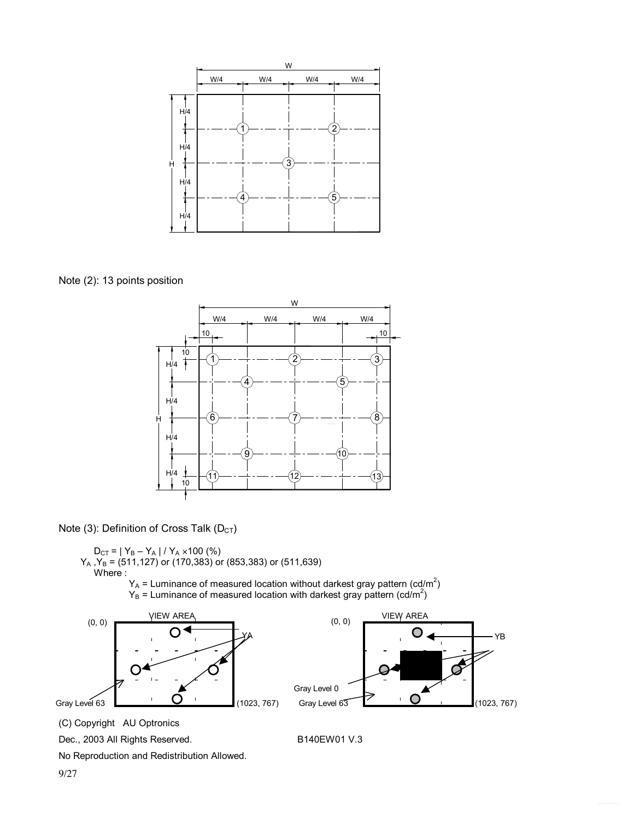

Note (2): 13 points position



Note (3): Definition of Cross Talk ( $D_{CT}$ )

 $D_{CT}$  = | Y<sub>B</sub> – Y<sub>A</sub> | / Y<sub>A</sub> × 100 (%)  $Y_A$  , $Y_B$  = (511,127) or (170,383) or (853,383) or (511,639) Where :  $Y_A$  = Luminance of measured location without darkest gray pattern (cd/m<sup>2</sup>)

 $Y_B$  = Luminance of measured location with darkest gray pattern (cd/m<sup>2</sup>)





(C) Copyright AU Optronics

Dec., 2003 All Rights Reserved. B140EW01 V.3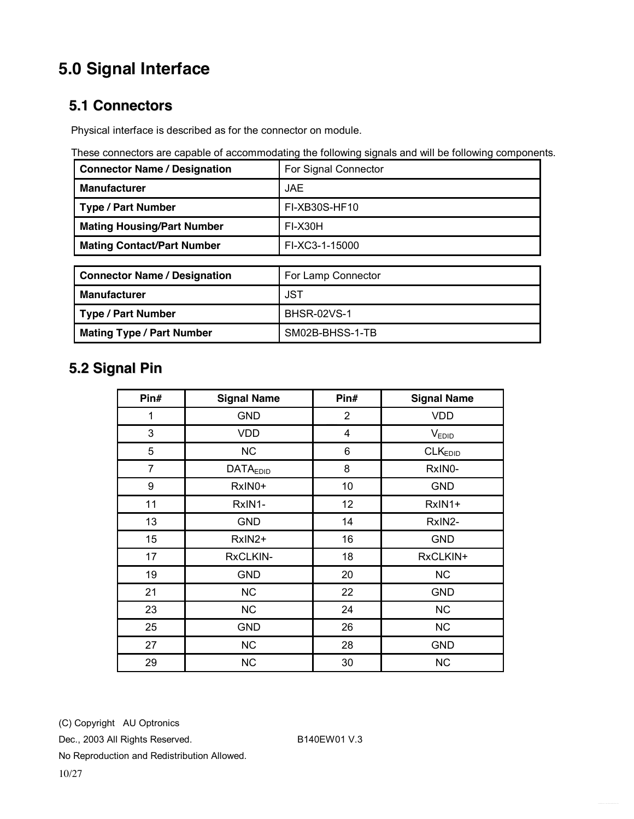# **5.0 Signal Interface**

#### **5.1 Connectors**

Physical interface is described as for the connector on module.

These connectors are capable of accommodating the following signals and will be following components.

| <b>Connector Name / Designation</b> | For Signal Connector |
|-------------------------------------|----------------------|
| <b>Manufacturer</b>                 | <b>JAE</b>           |
| <b>Type / Part Number</b>           | FI-XB30S-HF10        |
| <b>Mating Housing/Part Number</b>   | <b>FI-X30H</b>       |
| <b>Mating Contact/Part Number</b>   | FI-XC3-1-15000       |
|                                     |                      |
| <b>Connector Name / Designation</b> | For Lamp Connector   |
| <b>Manufacturer</b>                 | <b>JST</b>           |
| <b>Type / Part Number</b>           | <b>BHSR-02VS-1</b>   |
| <b>Mating Type / Part Number</b>    | SM02B-BHSS-1-TB      |

### **5.2 Signal Pin**

| Pin#           | <b>Signal Name</b> | Pin#                    | <b>Signal Name</b>  |
|----------------|--------------------|-------------------------|---------------------|
| 1              | <b>GND</b>         | $\overline{2}$          | <b>VDD</b>          |
| 3              | <b>VDD</b>         | $\overline{\mathbf{4}}$ | V <sub>EDID</sub>   |
| 5              | <b>NC</b>          | 6                       | CLK <sub>EDID</sub> |
| $\overline{7}$ | <b>DATAEDID</b>    | 8                       | RxIN0-              |
| 9              | RxIN0+             | 10                      | <b>GND</b>          |
| 11             | RxIN1-             | 12                      | RxIN1+              |
| 13             | <b>GND</b>         | 14                      | RxIN2-              |
| 15             | RxIN2+             | 16                      | <b>GND</b>          |
| 17             | RxCLKIN-           | 18                      | RxCLKIN+            |
| 19             | <b>GND</b>         | 20                      | <b>NC</b>           |
| 21             | <b>NC</b>          | 22                      | <b>GND</b>          |
| 23             | <b>NC</b>          | 24                      | NC                  |
| 25             | <b>GND</b>         | 26                      | <b>NC</b>           |
| 27             | <b>NC</b>          | 28                      | <b>GND</b>          |
| 29             | <b>NC</b>          | 30                      | <b>NC</b>           |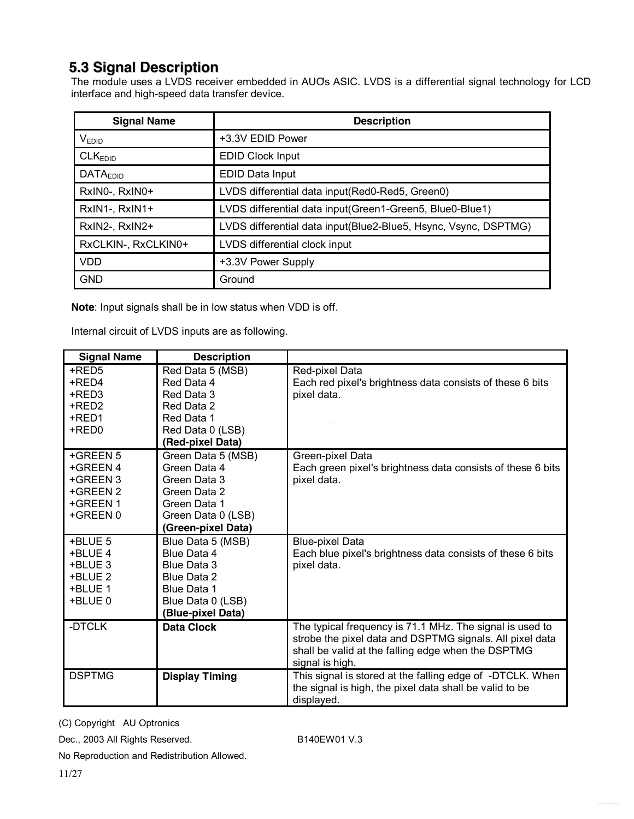#### **5.3 Signal Description**

The module uses a LVDS receiver embedded in AUO's ASIC. LVDS is a differential signal technology for LCD interface and high-speed data transfer device.

| <b>Signal Name</b>  | <b>Description</b>                                              |
|---------------------|-----------------------------------------------------------------|
| V <sub>EDID</sub>   | +3.3V EDID Power                                                |
| CLK <sub>EDID</sub> | <b>EDID Clock Input</b>                                         |
| <b>DATAEDID</b>     | EDID Data Input                                                 |
| RxINO-, RxINO+      | LVDS differential data input(Red0-Red5, Green0)                 |
| RxIN1-, RxIN1+      | LVDS differential data input(Green1-Green5, Blue0-Blue1)        |
| RxIN2-, RxIN2+      | LVDS differential data input(Blue2-Blue5, Hsync, Vsync, DSPTMG) |
| RxCLKIN-, RxCLKIN0+ | LVDS differential clock input                                   |
| <b>VDD</b>          | +3.3V Power Supply                                              |
| <b>GND</b>          | Ground                                                          |

**Note**: Input signals shall be in low status when VDD is off.

Internal circuit of LVDS inputs are as following.

| <b>Signal Name</b> | <b>Description</b>    |                                                             |
|--------------------|-----------------------|-------------------------------------------------------------|
| +RED5              | Red Data 5 (MSB)      | Red-pixel Data                                              |
| +RED4              | Red Data 4            | Each red pixel's brightness data consists of these 6 bits   |
| +RED3              | Red Data 3            | pixel data.                                                 |
| +RED2              | Red Data 2            |                                                             |
| +RED1              | Red Data 1            |                                                             |
| +RED0              | Red Data 0 (LSB)      |                                                             |
|                    | (Red-pixel Data)      |                                                             |
| +GREEN 5           | Green Data 5 (MSB)    | Green-pixel Data                                            |
| +GREEN 4           | Green Data 4          | Each green pixel's brightness data consists of these 6 bits |
| +GREEN 3           | Green Data 3          | pixel data.                                                 |
| +GREEN 2           | Green Data 2          |                                                             |
| +GREEN 1           | Green Data 1          |                                                             |
| +GREEN 0           | Green Data 0 (LSB)    |                                                             |
|                    | (Green-pixel Data)    |                                                             |
| +BLUE 5            | Blue Data 5 (MSB)     | <b>Blue-pixel Data</b>                                      |
| +BLUE 4            | Blue Data 4           | Each blue pixel's brightness data consists of these 6 bits  |
| +BLUE 3            | Blue Data 3           | pixel data.                                                 |
| +BI UE 2           | Blue Data 2           |                                                             |
| +BLUE 1            | Blue Data 1           |                                                             |
| +BLUE 0            | Blue Data 0 (LSB)     |                                                             |
|                    | (Blue-pixel Data)     |                                                             |
| -DTCLK             | <b>Data Clock</b>     | The typical frequency is 71.1 MHz. The signal is used to    |
|                    |                       | strobe the pixel data and DSPTMG signals. All pixel data    |
|                    |                       | shall be valid at the falling edge when the DSPTMG          |
|                    |                       | signal is high.                                             |
| <b>DSPTMG</b>      | <b>Display Timing</b> | This signal is stored at the falling edge of -DTCLK. When   |
|                    |                       | the signal is high, the pixel data shall be valid to be     |
|                    |                       | displayed.                                                  |

(C) Copyright AU Optronics

Dec., 2003 All Rights Reserved. B140EW01 V.3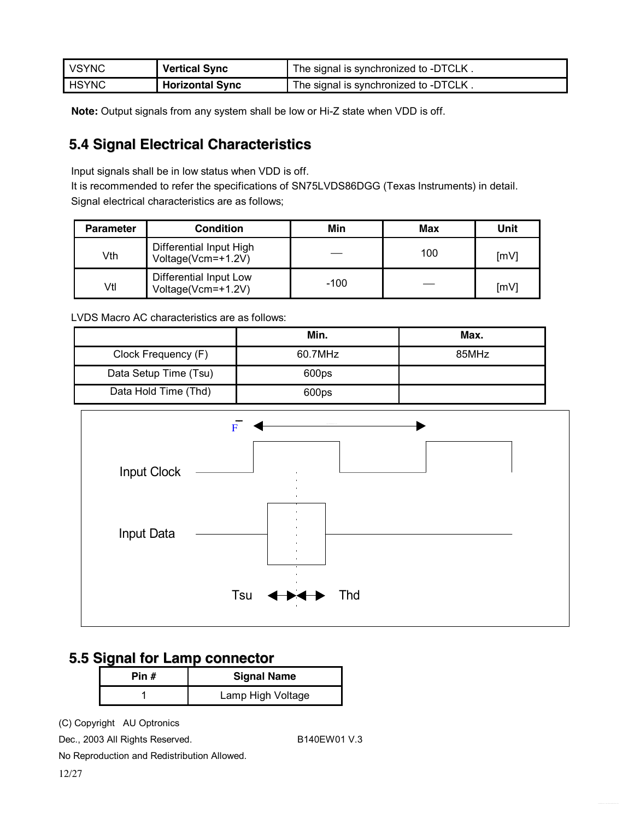| <b>VSYNC</b> | <b>Vertical Sync</b>   | The signal is synchronized to -DTCLK. |
|--------------|------------------------|---------------------------------------|
| HSYNC        | <b>Horizontal Sync</b> | The signal is synchronized to -DTCLK. |

**Note:** Output signals from any system shall be low or Hi-Z state when VDD is off.

#### **5.4 Signal Electrical Characteristics**

Input signals shall be in low status when VDD is off.

It is recommended to refer the specifications of SN75LVDS86DGG (Texas Instruments) in detail. Signal electrical characteristics are as follows;

| <b>Parameter</b> | <b>Condition</b>                              | Min    | Max | Unit |
|------------------|-----------------------------------------------|--------|-----|------|
| Vth              | Differential Input High<br>Voltage(Vcm=+1.2V) |        | 100 | [mV] |
| Vtl              | Differential Input Low<br>Voltage(Vcm=+1.2V)  | $-100$ |     | [mV] |

LVDS Macro AC characteristics are as follows:

|                       | Min.    | Max.  |
|-----------------------|---------|-------|
| Clock Frequency (F)   | 60.7MHz | 85MHz |
| Data Setup Time (Tsu) | 600ps   |       |
| Data Hold Time (Thd)  | 600ps   |       |



#### **5.5 Signal for Lamp connector**

| Pin $#$ | <b>Signal Name</b> |  |  |  |  |
|---------|--------------------|--|--|--|--|
|         | Lamp High Voltage  |  |  |  |  |

(C) Copyright AU Optronics

Dec., 2003 All Rights Reserved. B140EW01 V.3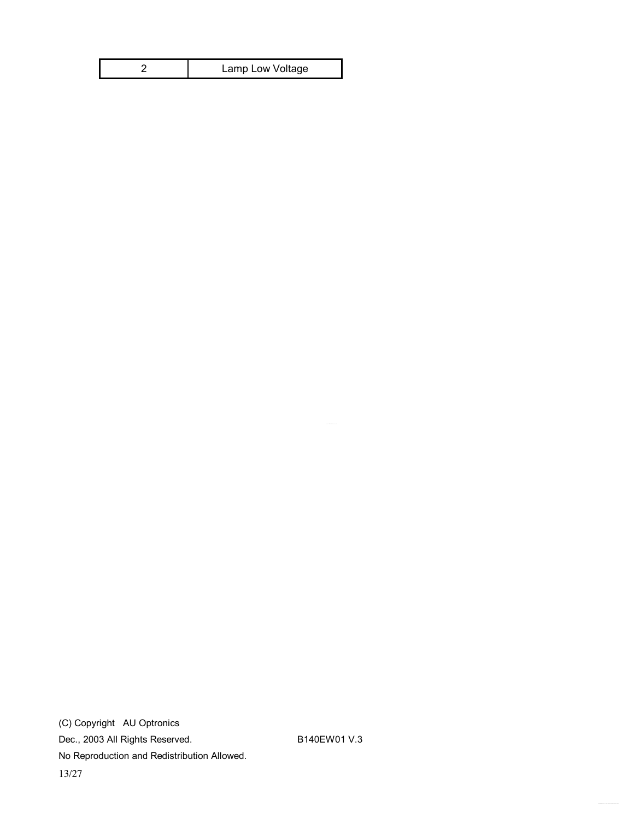| Lamp Low Voltage |
|------------------|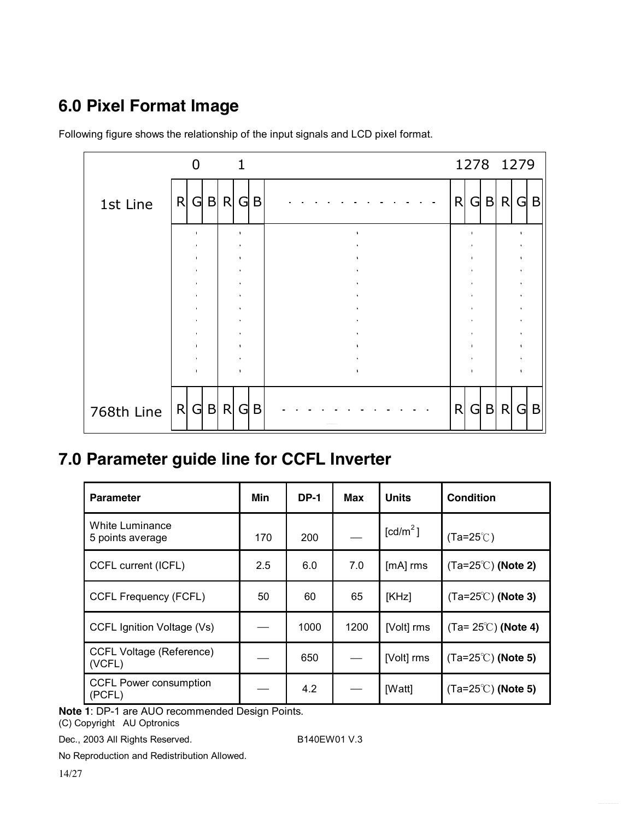# **6.0 Pixel Format Image**

|            |         | $\overline{0}$ |  | $\mathbf{1}$ |     |   |     | 1278 1279 |         |  |
|------------|---------|----------------|--|--------------|-----|---|-----|-----------|---------|--|
| 1st Line   | R       | $G$ B R        |  |              | G B | R | G B |           | $R$ G B |  |
|            |         |                |  |              |     |   |     |           |         |  |
|            |         |                |  |              |     |   |     |           |         |  |
|            |         |                |  |              |     |   |     |           |         |  |
|            |         |                |  |              |     |   |     |           |         |  |
|            |         |                |  |              |     |   |     |           |         |  |
|            |         |                |  |              |     |   |     |           |         |  |
|            |         |                |  |              |     |   |     |           |         |  |
| 768th Line | R G B R |                |  |              | G B | R | G B |           | $R$ G B |  |

Following figure shows the relationship of the input signals and LCD pixel format.

# **7.0 Parameter guide line for CCFL Inverter**

| <b>Parameter</b>                          | Min | <b>DP-1</b> | Max  | <b>Units</b>         | <b>Condition</b>                   |
|-------------------------------------------|-----|-------------|------|----------------------|------------------------------------|
| White Luminance<br>5 points average       | 170 | 200         |      | [cd/m <sup>2</sup> ] | $(Ta=25^{\circ}C)$                 |
| CCFL current (ICFL)                       | 2.5 | 6.0         | 7.0  | $[mA]$ rms           | $(Ta=25^{\circ}C)$ (Note 2)        |
| <b>CCFL Frequency (FCFL)</b>              | 50  | 60          | 65   | [KHz]                | $(Ta=25^{\circ}C)$ (Note 3)        |
| CCFL Ignition Voltage (Vs)                |     | 1000        | 1200 | [Volt] rms           | $(Ta=25^{\circ}\text{C})$ (Note 4) |
| <b>CCFL Voltage (Reference)</b><br>(VCFL) |     | 650         |      | [Volt] rms           | $(Ta=25^{\circ}C)$ (Note 5)        |
| <b>CCFL Power consumption</b><br>(PCFL)   |     | 4.2         |      | [Watt]               | $(Ta=25^{\circ}C)$ (Note 5)        |

**Note 1**: DP-1 are AUO recommended Design Points.

(C) Copyright AU Optronics

Dec., 2003 All Rights Reserved. B140EW01 V.3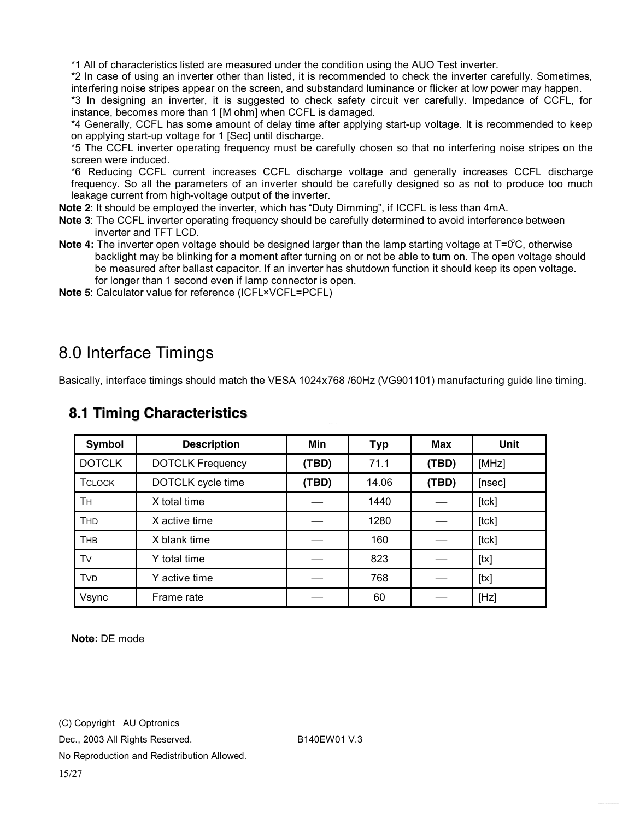\*1 All of characteristics listed are measured under the condition using the AUO Test inverter.

\*2 In case of using an inverter other than listed, it is recommended to check the inverter carefully. Sometimes, interfering noise stripes appear on the screen, and substandard luminance or flicker at low power may happen.

\*3 In designing an inverter, it is suggested to check safety circuit ver carefully. Impedance of CCFL, for instance, becomes more than 1 [M ohm] when CCFL is damaged.

\*4 Generally, CCFL has some amount of delay time after applying start-up voltage. It is recommended to keep on applying start-up voltage for 1 [Sec] until discharge.

\*5 The CCFL inverter operating frequency must be carefully chosen so that no interfering noise stripes on the screen were induced.

\*6 Reducing CCFL current increases CCFL discharge voltage and generally increases CCFL discharge frequency. So all the parameters of an inverter should be carefully designed so as not to produce too much leakage current from high-voltage output of the inverter.

**Note 2**: It should be employed the inverter, which has "Duty Dimming", if ICCFL is less than 4mA.

- **Note 3**: The CCFL inverter operating frequency should be carefully determined to avoid interference between inverter and TFT LCD.
- Note 4: The inverter open voltage should be designed larger than the lamp starting voltage at T=0°C, otherwise backlight may be blinking for a moment after turning on or not be able to turn on. The open voltage should be measured after ballast capacitor. If an inverter has shutdown function it should keep its open voltage. for longer than 1 second even if lamp connector is open.
- **Note 5**: Calculator value for reference (ICFL×VCFL=PCFL)

### 8.0 Interface Timings

Basically, interface timings should match the VESA 1024x768 /60Hz (VG901101) manufacturing guide line timing.

| Symbol        | <b>Description</b>      | Min   | <b>Typ</b> | Max   | <b>Unit</b> |
|---------------|-------------------------|-------|------------|-------|-------------|
| <b>DOTCLK</b> | <b>DOTCLK Frequency</b> | (TBD) | 71.1       | (TBD) | [MHz]       |
| <b>TCLOCK</b> | DOTCLK cycle time       | (TBD) | 14.06      | (TBD) | [nsec]      |
| <b>TH</b>     | X total time            |       | 1440       |       | [tck]       |
| <b>THD</b>    | X active time           |       | 1280       |       | [tck]       |
| <b>THB</b>    | X blank time            |       | 160        |       | [tck]       |
| Tv            | Y total time            |       | 823        |       | [tx]        |
| <b>TVD</b>    | Y active time           |       | 768        |       | [tx]        |
| Vsync         | Frame rate              |       | 60         |       | [Hz]        |

#### **8.1 Timing Characteristics**

**Note:** DE mode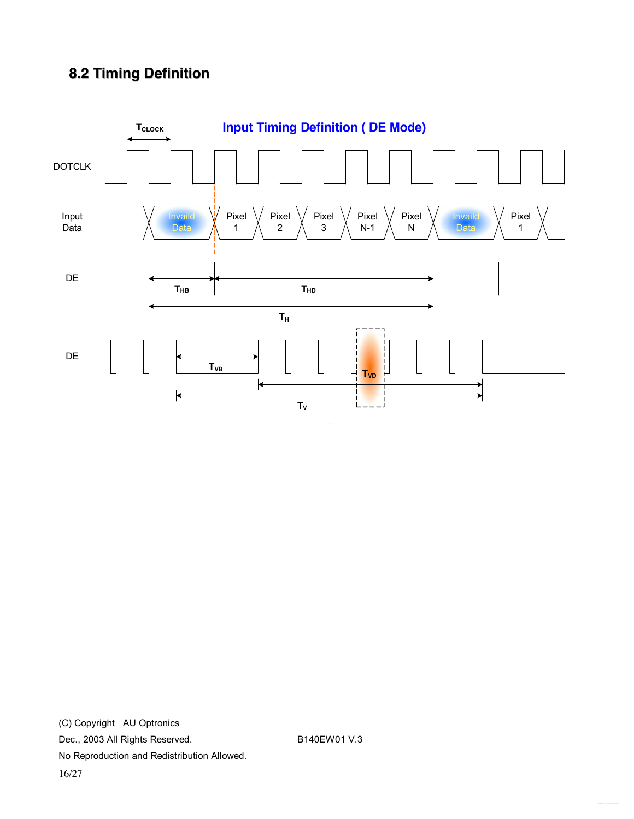### **8.2 Timing Definition**

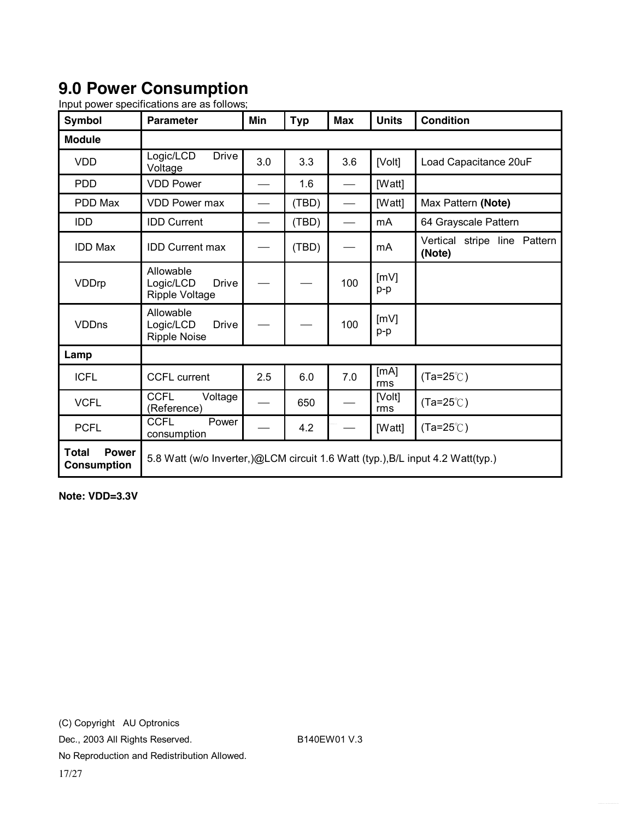# **9.0 Power Consumption**

| <b>Symbol</b>                                      | <b>Parameter</b>                                                               | Min | <b>Typ</b> | <b>Max</b> | <b>Units</b>   | <b>Condition</b>                       |
|----------------------------------------------------|--------------------------------------------------------------------------------|-----|------------|------------|----------------|----------------------------------------|
| <b>Module</b>                                      |                                                                                |     |            |            |                |                                        |
| <b>VDD</b>                                         | Logic/LCD<br><b>Drive</b><br>Voltage                                           | 3.0 | 3.3        | 3.6        | [Volt]         | Load Capacitance 20uF                  |
| <b>PDD</b>                                         | <b>VDD Power</b>                                                               |     | 1.6        |            | [Watt]         |                                        |
| PDD Max                                            | <b>VDD Power max</b>                                                           |     | (TBD)      |            | [Watt]         | Max Pattern (Note)                     |
| <b>IDD</b>                                         | <b>IDD Current</b>                                                             |     | (TBD)      |            | mA             | 64 Grayscale Pattern                   |
| <b>IDD Max</b>                                     | <b>IDD Current max</b>                                                         |     | (TBD)      |            | m <sub>A</sub> | Vertical stripe line Pattern<br>(Note) |
| VDDrp                                              | Allowable<br>Logic/LCD<br><b>Drive</b><br><b>Ripple Voltage</b>                |     |            | 100        | [mV]<br>p-p    |                                        |
| <b>VDDns</b>                                       | Allowable<br>Logic/LCD<br><b>Drive</b><br><b>Ripple Noise</b>                  |     |            | 100        | [mV]<br>p-p    |                                        |
| Lamp                                               |                                                                                |     |            |            |                |                                        |
| <b>ICFL</b>                                        | <b>CCFL current</b>                                                            | 2.5 | 6.0        | 7.0        | [mA]<br>rms    | $(Ta=25^{\circ}C)$                     |
| <b>VCFL</b>                                        | <b>CCFL</b><br>Voltage<br>(Reference)                                          |     | 650        |            | [Volt]<br>rms  | $(Ta=25^{\circ}C)$                     |
| <b>PCFL</b>                                        | <b>CCFL</b><br>Power<br>consumption                                            |     | 4.2        |            | [Watt]         | $(Ta=25^{\circ}C)$                     |
| <b>Power</b><br><b>Total</b><br><b>Consumption</b> | 5.8 Watt (w/o Inverter,)@LCM circuit 1.6 Watt (typ.), B/L input 4.2 Watt(typ.) |     |            |            |                |                                        |

Input power specifications are as follows;

**Note: VDD=3.3V**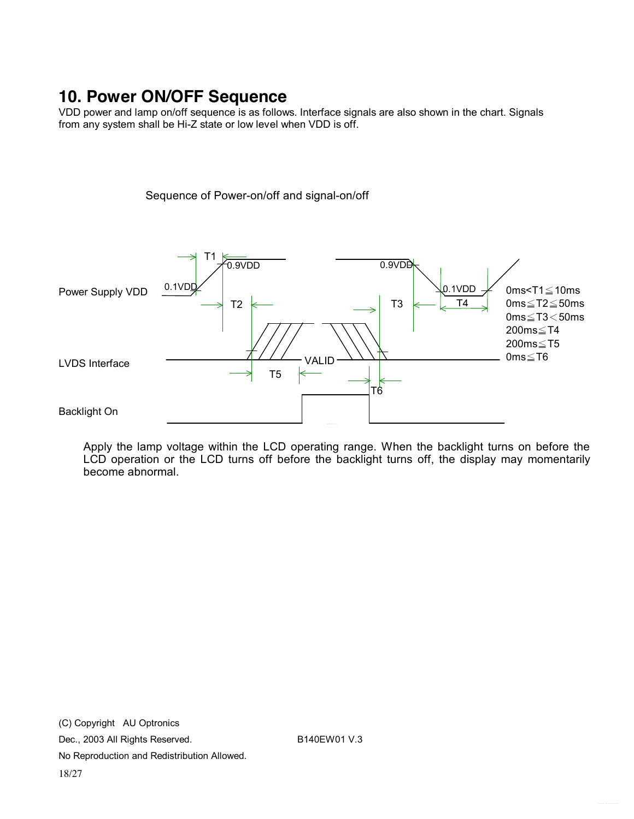## **10. Power ON/OFF Sequence**

VDD power and lamp on/off sequence is as follows. Interface signals are also shown in the chart. Signals from any system shall be Hi-Z state or low level when VDD is off.

Sequence of Power-on/off and signal-on/off



Apply the lamp voltage within the LCD operating range. When the backlight turns on before the LCD operation or the LCD turns off before the backlight turns off, the display may momentarily become abnormal.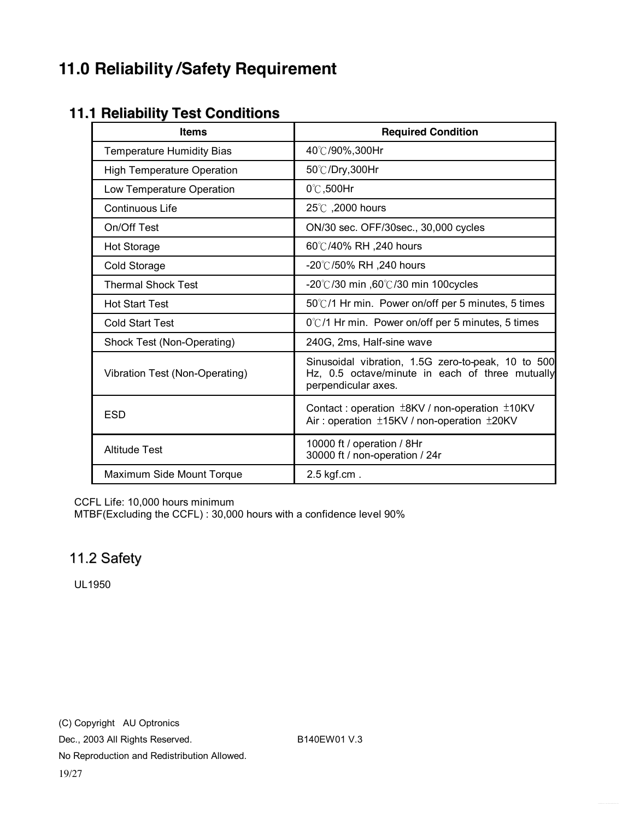# **11.0 Reliability /Safety Requirement**

### **11.1 Reliability Test Conditions**

| <b>Items</b>                      | <b>Required Condition</b>                                                                                                    |
|-----------------------------------|------------------------------------------------------------------------------------------------------------------------------|
| <b>Temperature Humidity Bias</b>  | 40℃/90%,300Hr                                                                                                                |
| <b>High Temperature Operation</b> | 50℃/Dry,300Hr                                                                                                                |
| Low Temperature Operation         | $0^\circ\text{C}$ ,500Hr                                                                                                     |
| Continuous Life                   | 25°C, 2000 hours                                                                                                             |
| On/Off Test                       | ON/30 sec. OFF/30sec., 30,000 cycles                                                                                         |
| <b>Hot Storage</b>                | 60℃/40% RH ,240 hours                                                                                                        |
| Cold Storage                      | -20℃/50% RH ,240 hours                                                                                                       |
| <b>Thermal Shock Test</b>         | -20°C/30 min ,60°C/30 min 100cycles                                                                                          |
| <b>Hot Start Test</b>             | 50°C/1 Hr min. Power on/off per 5 minutes, 5 times                                                                           |
| <b>Cold Start Test</b>            | $0^{\circ}$ C/1 Hr min. Power on/off per 5 minutes, 5 times                                                                  |
| Shock Test (Non-Operating)        | 240G, 2ms, Half-sine wave                                                                                                    |
| Vibration Test (Non-Operating)    | Sinusoidal vibration, 1.5G zero-to-peak, 10 to 500<br>Hz, 0.5 octave/minute in each of three mutually<br>perpendicular axes. |
| <b>ESD</b>                        | Contact: operation ±8KV / non-operation ±10KV<br>Air: operation ±15KV / non-operation ±20KV                                  |
| <b>Altitude Test</b>              | 10000 ft / operation / 8Hr<br>30000 ft / non-operation / 24r                                                                 |
| Maximum Side Mount Torque         | $2.5$ kgf.cm.                                                                                                                |

CCFL Life: 10,000 hours minimum

MTBF(Excluding the CCFL) : 30,000 hours with a confidence level 90%

#### 11.2 Safety

UL1950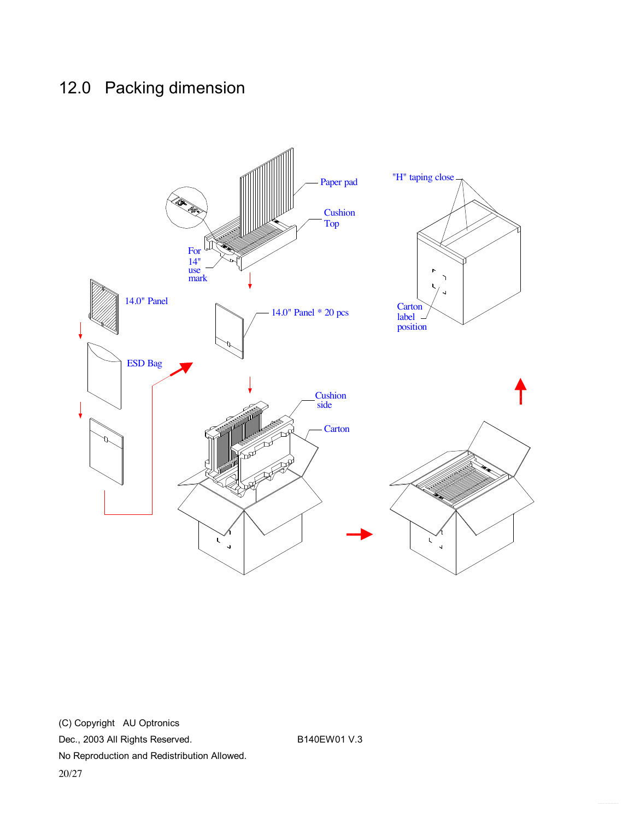# 12.0 Packing dimension

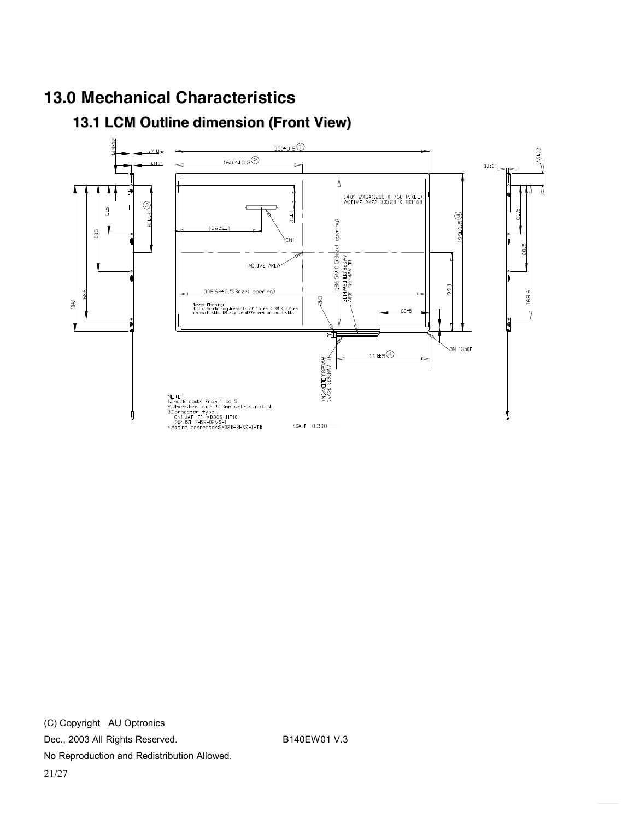### **13.0 Mechanical Characteristics**

### **13.1 LCM Outline dimension (Front View)**

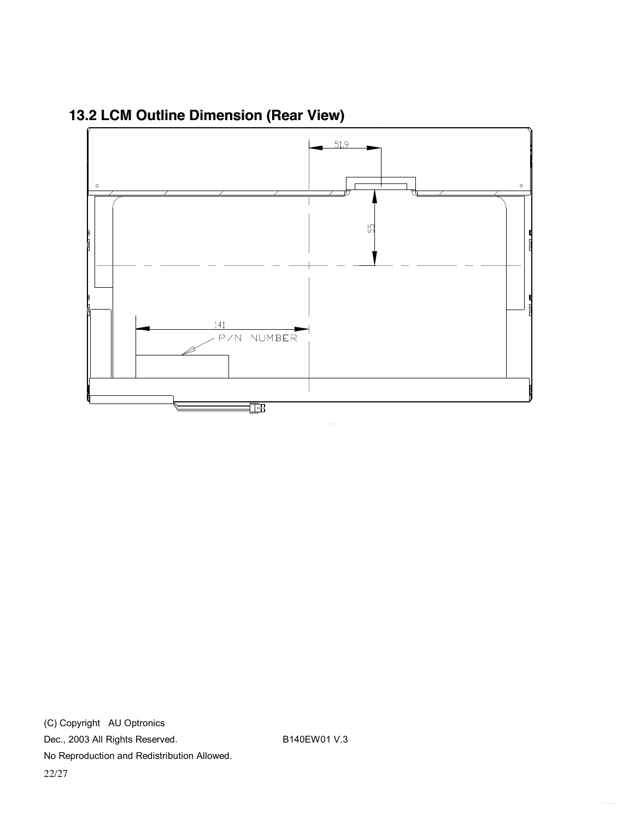

**13.2 LCM Outline Dimension (Rear View)**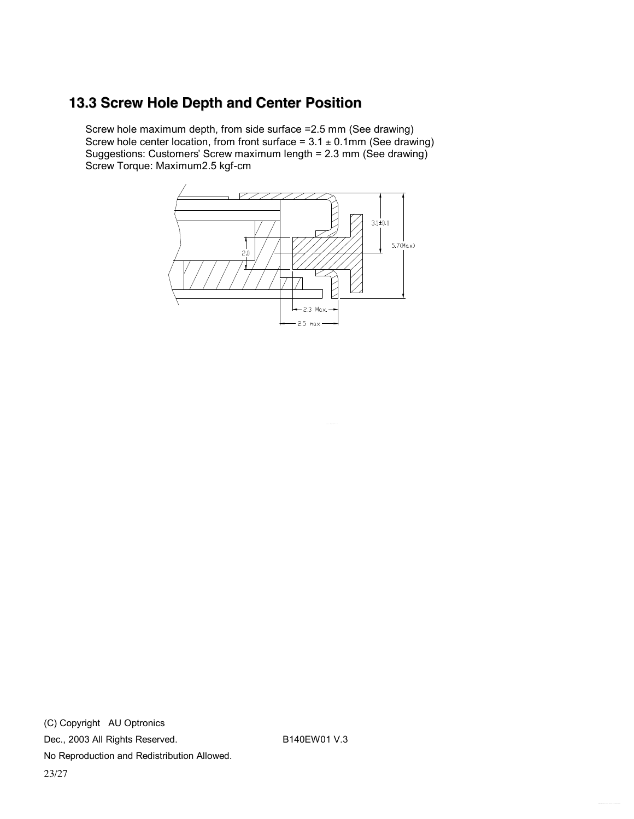#### **13.3 Screw Hole Depth and Center Position**

Screw hole maximum depth, from side surface =2.5 mm (See drawing) Screw hole center location, from front surface =  $3.1 \pm 0.1$ mm (See drawing) Suggestions: Customers' Screw maximum length = 2.3 mm (See drawing) Screw Torque: Maximum2.5 kgf-cm

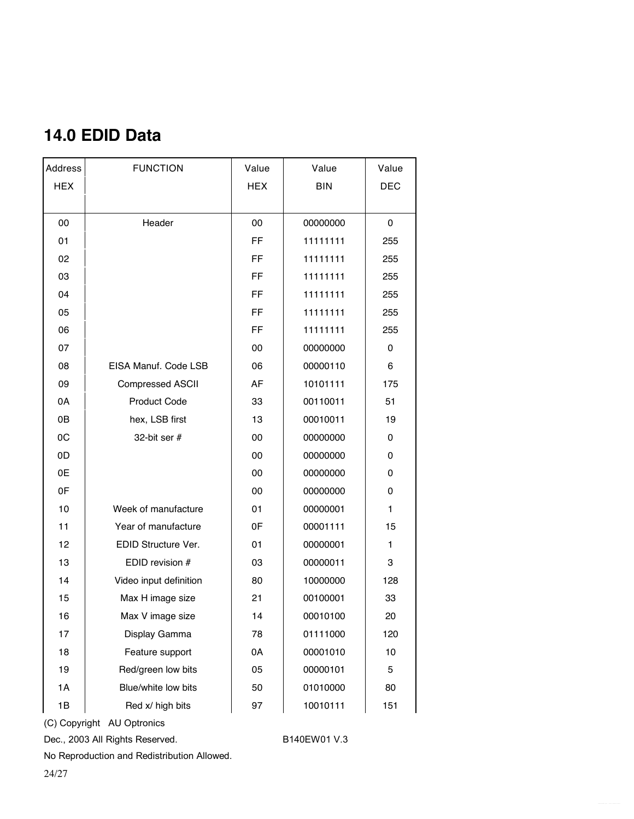| Address    | <b>FUNCTION</b>         | Value      | Value      | Value      |
|------------|-------------------------|------------|------------|------------|
| <b>HEX</b> |                         | <b>HEX</b> | <b>BIN</b> | <b>DEC</b> |
|            |                         |            |            |            |
| 00         | Header                  | 00         | 00000000   | 0          |
| 01         |                         | FF         | 11111111   | 255        |
| 02         |                         | FF         | 11111111   | 255        |
| 03         |                         | FF         | 11111111   | 255        |
| 04         |                         | FF         | 11111111   | 255        |
| 05         |                         | FF         | 11111111   | 255        |
| 06         |                         | FF         | 11111111   | 255        |
| 07         |                         | 00         | 00000000   | 0          |
| 08         | EISA Manuf. Code LSB    | 06         | 00000110   | 6          |
| 09         | <b>Compressed ASCII</b> | AF         | 10101111   | 175        |
| 0A         | <b>Product Code</b>     | 33         | 00110011   | 51         |
| 0B         | hex, LSB first          | 13         | 00010011   | 19         |
| 0C         | 32-bit ser #            | 00         | 00000000   | 0          |
| 0D         |                         | 00         | 00000000   | 0          |
| 0E         |                         | 00         | 00000000   | 0          |
| 0F         |                         | 00         | 00000000   | 0          |
| 10         | Week of manufacture     | 01         | 00000001   | 1          |
| 11         | Year of manufacture     | 0F         | 00001111   | 15         |
| 12         | EDID Structure Ver.     | 01         | 00000001   | 1          |
| 13         | EDID revision #         | 03         | 00000011   | 3          |
| 14         | Video input definition  | 80         | 10000000   | 128        |
| 15         | Max H image size        | 21         | 00100001   | 33         |
| 16         | Max V image size        | 14         | 00010100   | 20         |
| 17         | Display Gamma           | 78         | 01111000   | 120        |
| 18         | Feature support         | 0A         | 00001010   | 10         |
| 19         | Red/green low bits      | 05         | 00000101   | 5          |
| 1A         | Blue/white low bits     | 50         | 01010000   | 80         |
| 1B         | Red x/ high bits        | 97         | 10010111   | 151        |

# **14.0 EDID Data**

(C) Copyright AU Optronics

Dec., 2003 All Rights Reserved. B140EW01 V.3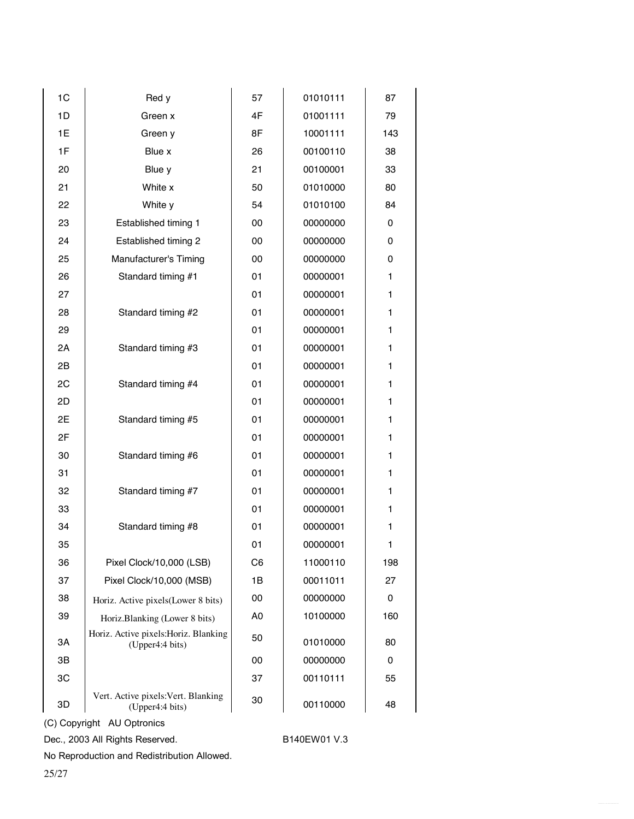| 1C | Red y                                                    | 57 | 01010111 | 87  |
|----|----------------------------------------------------------|----|----------|-----|
| 1D | Green x                                                  | 4F | 01001111 | 79  |
| 1E | Green y                                                  | 8F | 10001111 | 143 |
| 1F | Blue x                                                   | 26 | 00100110 | 38  |
| 20 | Blue y                                                   | 21 | 00100001 | 33  |
| 21 | White x                                                  | 50 | 01010000 | 80  |
| 22 | White y                                                  | 54 | 01010100 | 84  |
| 23 | Established timing 1                                     | 00 | 00000000 | 0   |
| 24 | Established timing 2                                     | 00 | 00000000 | 0   |
| 25 | Manufacturer's Timing                                    | 00 | 00000000 | 0   |
| 26 | Standard timing #1                                       | 01 | 00000001 | 1   |
| 27 |                                                          | 01 | 00000001 | 1   |
| 28 | Standard timing #2                                       | 01 | 00000001 | 1   |
| 29 |                                                          | 01 | 00000001 | 1   |
| 2A | Standard timing #3                                       | 01 | 00000001 | 1   |
| 2B |                                                          | 01 | 00000001 | 1   |
| 2C | Standard timing #4                                       | 01 | 00000001 | 1   |
| 2D |                                                          | 01 | 00000001 | 1   |
| 2E | Standard timing #5                                       | 01 | 00000001 | 1   |
| 2F |                                                          | 01 | 00000001 | 1   |
| 30 | Standard timing #6                                       | 01 | 00000001 | 1   |
| 31 |                                                          | 01 | 00000001 | 1   |
| 32 | Standard timing #7                                       | 01 | 00000001 | 1   |
| 33 |                                                          | 01 | 00000001 | 1   |
| 34 | Standard timing #8                                       | 01 | 00000001 | 1   |
| 35 |                                                          | 01 | 00000001 | 1   |
| 36 | Pixel Clock/10,000 (LSB)                                 | C6 | 11000110 | 198 |
| 37 | Pixel Clock/10,000 (MSB)                                 | 1B | 00011011 | 27  |
| 38 | Horiz. Active pixels(Lower 8 bits)                       | 00 | 00000000 | 0   |
| 39 | Horiz.Blanking (Lower 8 bits)                            | A0 | 10100000 | 160 |
| 3A | Horiz. Active pixels: Horiz. Blanking<br>(Upper4:4 bits) | 50 | 01010000 | 80  |
| 3B |                                                          | 00 | 00000000 | 0   |
| 3C |                                                          | 37 | 00110111 | 55  |
| 3D | Vert. Active pixels: Vert. Blanking<br>(Upper4:4 bits)   | 30 | 00110000 | 48  |

(C) Copyright AU Optronics

Dec., 2003 All Rights Reserved. B140EW01 V.3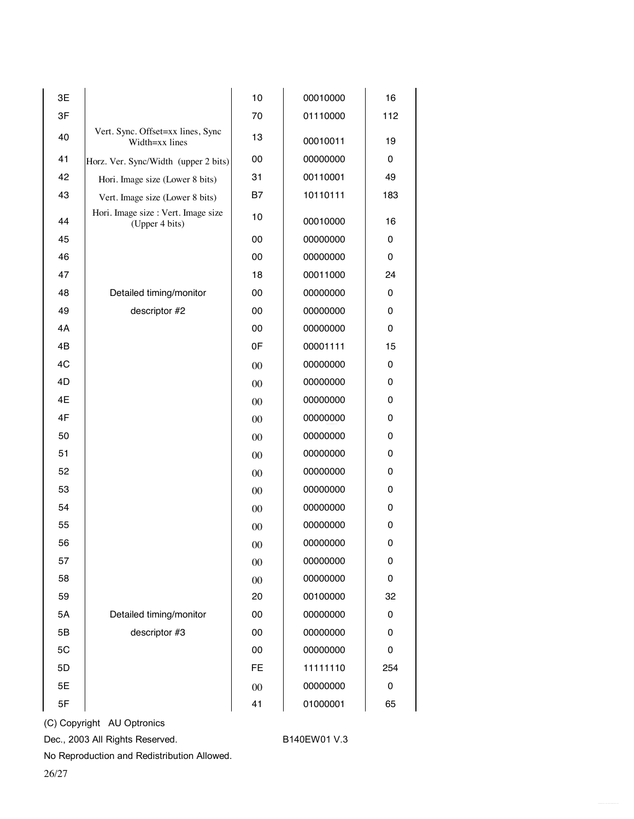| 3E |                                                       | 10             | 00010000 | 16  |
|----|-------------------------------------------------------|----------------|----------|-----|
| 3F |                                                       | 70             | 01110000 | 112 |
| 40 | Vert. Sync. Offset=xx lines, Sync<br>Width=xx lines   | 13             | 00010011 | 19  |
| 41 | Horz. Ver. Sync/Width (upper 2 bits)                  | 00             | 00000000 | 0   |
| 42 | Hori. Image size (Lower 8 bits)                       | 31             | 00110001 | 49  |
| 43 | Vert. Image size (Lower 8 bits)                       | <b>B7</b>      | 10110111 | 183 |
| 44 | Hori. Image size : Vert. Image size<br>(Upper 4 bits) | 10             | 00010000 | 16  |
| 45 |                                                       | 00             | 00000000 | 0   |
| 46 |                                                       | 00             | 00000000 | 0   |
| 47 |                                                       | 18             | 00011000 | 24  |
| 48 | Detailed timing/monitor                               | 00             | 00000000 | 0   |
| 49 | descriptor #2                                         | 00             | 00000000 | 0   |
| 4A |                                                       | 00             | 00000000 | 0   |
| 4B |                                                       | 0F             | 00001111 | 15  |
| 4C |                                                       | 00             | 00000000 | 0   |
| 4D |                                                       | 00             | 00000000 | 0   |
| 4E |                                                       | 00             | 00000000 | 0   |
| 4F |                                                       | 00             | 00000000 | 0   |
| 50 |                                                       | 00             | 00000000 | 0   |
| 51 |                                                       | 0 <sub>0</sub> | 00000000 | 0   |
| 52 |                                                       | 00             | 00000000 | 0   |
| 53 |                                                       | 00             | 00000000 | 0   |
| 54 |                                                       | 00             | 00000000 | 0   |
| 55 |                                                       | 00             | 00000000 | 0   |
| 56 |                                                       | 00             | 00000000 | 0   |
| 57 |                                                       | $00\,$         | 00000000 | 0   |
| 58 |                                                       | 00             | 00000000 | 0   |
| 59 |                                                       | 20             | 00100000 | 32  |
| 5A | Detailed timing/monitor                               | 00             | 00000000 | 0   |
| 5B | descriptor #3                                         | 00             | 00000000 | 0   |
| 5C |                                                       | 00             | 00000000 | 0   |
| 5D |                                                       | FE             | 11111110 | 254 |
| 5E |                                                       | 00             | 00000000 | 0   |
| 5F |                                                       | 41             | 01000001 | 65  |

(C) Copyright AU Optronics

Dec., 2003 All Rights Reserved. B140EW01 V.3